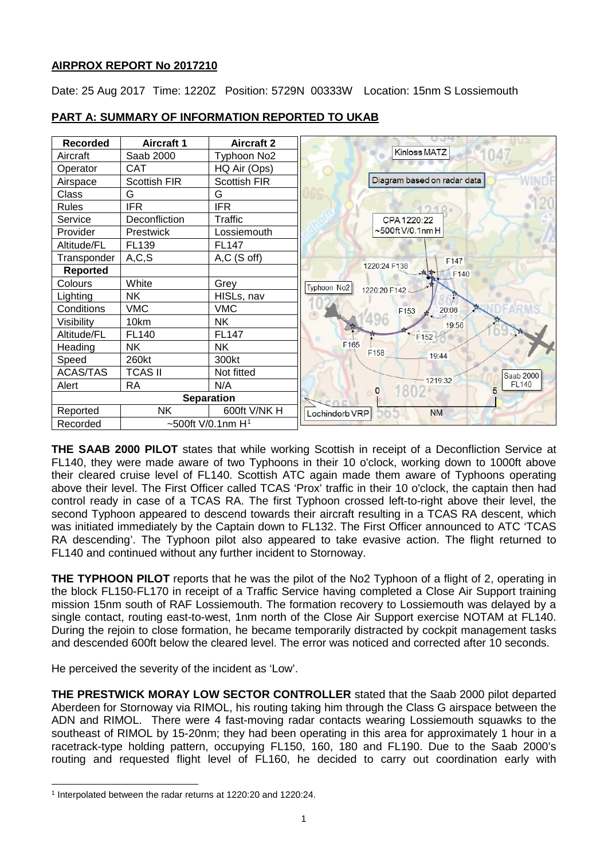# **AIRPROX REPORT No 2017210**

Date: 25 Aug 2017 Time: 1220Z Position: 5729N 00333W Location: 15nm S Lossiemouth



# **PART A: SUMMARY OF INFORMATION REPORTED TO UKAB**

**THE SAAB 2000 PILOT** states that while working Scottish in receipt of a Deconfliction Service at FL140, they were made aware of two Typhoons in their 10 o'clock, working down to 1000ft above their cleared cruise level of FL140. Scottish ATC again made them aware of Typhoons operating above their level. The First Officer called TCAS 'Prox' traffic in their 10 o'clock, the captain then had control ready in case of a TCAS RA. The first Typhoon crossed left-to-right above their level, the second Typhoon appeared to descend towards their aircraft resulting in a TCAS RA descent, which was initiated immediately by the Captain down to FL132. The First Officer announced to ATC 'TCAS RA descending'. The Typhoon pilot also appeared to take evasive action. The flight returned to FL140 and continued without any further incident to Stornoway.

**THE TYPHOON PILOT** reports that he was the pilot of the No2 Typhoon of a flight of 2, operating in the block FL150-FL170 in receipt of a Traffic Service having completed a Close Air Support training mission 15nm south of RAF Lossiemouth. The formation recovery to Lossiemouth was delayed by a single contact, routing east-to-west, 1nm north of the Close Air Support exercise NOTAM at FL140. During the rejoin to close formation, he became temporarily distracted by cockpit management tasks and descended 600ft below the cleared level. The error was noticed and corrected after 10 seconds.

He perceived the severity of the incident as 'Low'.

**THE PRESTWICK MORAY LOW SECTOR CONTROLLER** stated that the Saab 2000 pilot departed Aberdeen for Stornoway via RIMOL, his routing taking him through the Class G airspace between the ADN and RIMOL. There were 4 fast-moving radar contacts wearing Lossiemouth squawks to the southeast of RIMOL by 15-20nm; they had been operating in this area for approximately 1 hour in a racetrack-type holding pattern, occupying FL150, 160, 180 and FL190. Due to the Saab 2000's routing and requested flight level of FL160, he decided to carry out coordination early with

 $\overline{\phantom{a}}$ 

<span id="page-0-0"></span><sup>1</sup> Interpolated between the radar returns at 1220:20 and 1220:24.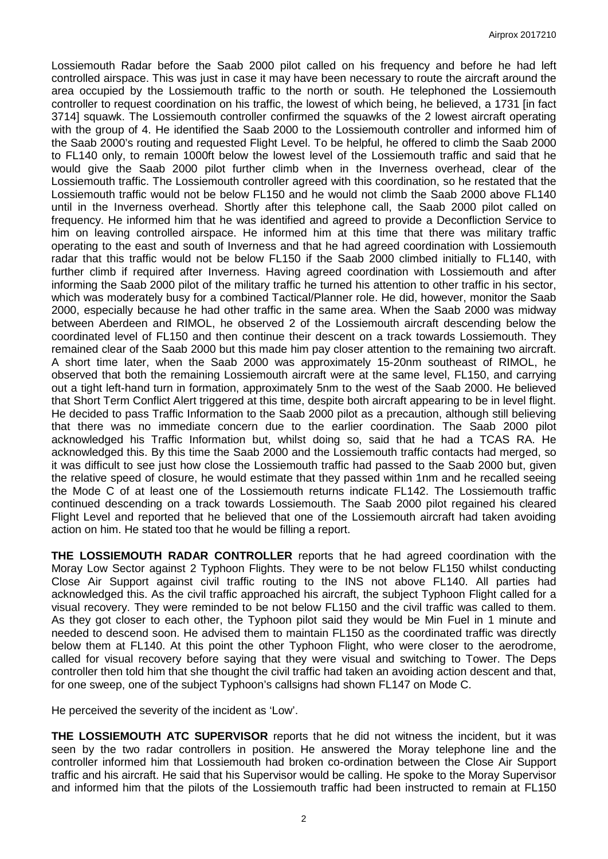Lossiemouth Radar before the Saab 2000 pilot called on his frequency and before he had left controlled airspace. This was just in case it may have been necessary to route the aircraft around the area occupied by the Lossiemouth traffic to the north or south. He telephoned the Lossiemouth controller to request coordination on his traffic, the lowest of which being, he believed, a 1731 [in fact 3714] squawk. The Lossiemouth controller confirmed the squawks of the 2 lowest aircraft operating with the group of 4. He identified the Saab 2000 to the Lossiemouth controller and informed him of the Saab 2000's routing and requested Flight Level. To be helpful, he offered to climb the Saab 2000 to FL140 only, to remain 1000ft below the lowest level of the Lossiemouth traffic and said that he would give the Saab 2000 pilot further climb when in the Inverness overhead, clear of the Lossiemouth traffic. The Lossiemouth controller agreed with this coordination, so he restated that the Lossiemouth traffic would not be below FL150 and he would not climb the Saab 2000 above FL140 until in the Inverness overhead. Shortly after this telephone call, the Saab 2000 pilot called on frequency. He informed him that he was identified and agreed to provide a Deconfliction Service to him on leaving controlled airspace. He informed him at this time that there was military traffic operating to the east and south of Inverness and that he had agreed coordination with Lossiemouth radar that this traffic would not be below FL150 if the Saab 2000 climbed initially to FL140, with further climb if required after Inverness. Having agreed coordination with Lossiemouth and after informing the Saab 2000 pilot of the military traffic he turned his attention to other traffic in his sector, which was moderately busy for a combined Tactical/Planner role. He did, however, monitor the Saab 2000, especially because he had other traffic in the same area. When the Saab 2000 was midway between Aberdeen and RIMOL, he observed 2 of the Lossiemouth aircraft descending below the coordinated level of FL150 and then continue their descent on a track towards Lossiemouth. They remained clear of the Saab 2000 but this made him pay closer attention to the remaining two aircraft. A short time later, when the Saab 2000 was approximately 15-20nm southeast of RIMOL, he observed that both the remaining Lossiemouth aircraft were at the same level, FL150, and carrying out a tight left-hand turn in formation, approximately 5nm to the west of the Saab 2000. He believed that Short Term Conflict Alert triggered at this time, despite both aircraft appearing to be in level flight. He decided to pass Traffic Information to the Saab 2000 pilot as a precaution, although still believing that there was no immediate concern due to the earlier coordination. The Saab 2000 pilot acknowledged his Traffic Information but, whilst doing so, said that he had a TCAS RA. He acknowledged this. By this time the Saab 2000 and the Lossiemouth traffic contacts had merged, so it was difficult to see just how close the Lossiemouth traffic had passed to the Saab 2000 but, given the relative speed of closure, he would estimate that they passed within 1nm and he recalled seeing the Mode C of at least one of the Lossiemouth returns indicate FL142. The Lossiemouth traffic continued descending on a track towards Lossiemouth. The Saab 2000 pilot regained his cleared Flight Level and reported that he believed that one of the Lossiemouth aircraft had taken avoiding action on him. He stated too that he would be filling a report.

**THE LOSSIEMOUTH RADAR CONTROLLER** reports that he had agreed coordination with the Moray Low Sector against 2 Typhoon Flights. They were to be not below FL150 whilst conducting Close Air Support against civil traffic routing to the INS not above FL140. All parties had acknowledged this. As the civil traffic approached his aircraft, the subject Typhoon Flight called for a visual recovery. They were reminded to be not below FL150 and the civil traffic was called to them. As they got closer to each other, the Typhoon pilot said they would be Min Fuel in 1 minute and needed to descend soon. He advised them to maintain FL150 as the coordinated traffic was directly below them at FL140. At this point the other Typhoon Flight, who were closer to the aerodrome, called for visual recovery before saying that they were visual and switching to Tower. The Deps controller then told him that she thought the civil traffic had taken an avoiding action descent and that, for one sweep, one of the subject Typhoon's callsigns had shown FL147 on Mode C.

He perceived the severity of the incident as 'Low'.

**THE LOSSIEMOUTH ATC SUPERVISOR** reports that he did not witness the incident, but it was seen by the two radar controllers in position. He answered the Moray telephone line and the controller informed him that Lossiemouth had broken co-ordination between the Close Air Support traffic and his aircraft. He said that his Supervisor would be calling. He spoke to the Moray Supervisor and informed him that the pilots of the Lossiemouth traffic had been instructed to remain at FL150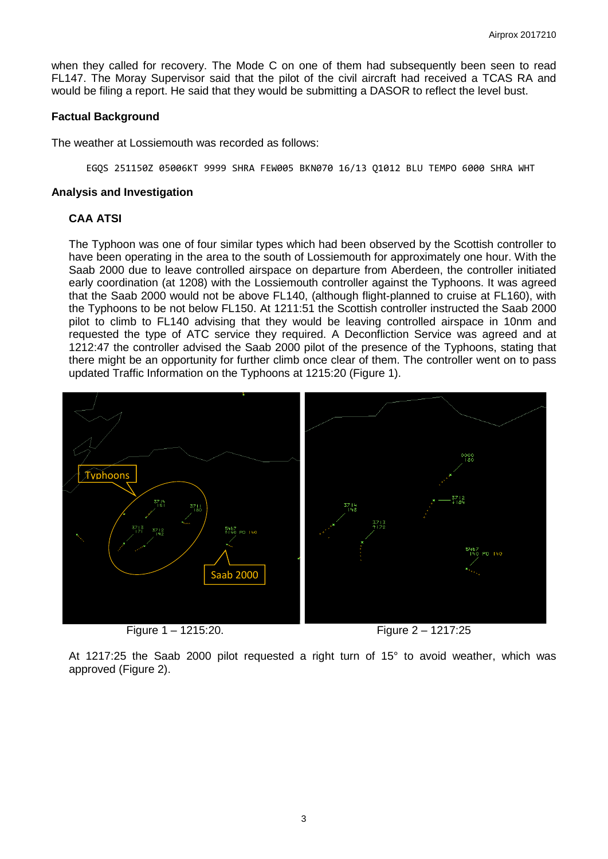when they called for recovery. The Mode C on one of them had subsequently been seen to read FL147. The Moray Supervisor said that the pilot of the civil aircraft had received a TCAS RA and would be filing a report. He said that they would be submitting a DASOR to reflect the level bust.

### **Factual Background**

The weather at Lossiemouth was recorded as follows:

EGQS 251150Z 05006KT 9999 SHRA FEW005 BKN070 16/13 Q1012 BLU TEMPO 6000 SHRA WHT

#### **Analysis and Investigation**

## **CAA ATSI**

The Typhoon was one of four similar types which had been observed by the Scottish controller to have been operating in the area to the south of Lossiemouth for approximately one hour. With the Saab 2000 due to leave controlled airspace on departure from Aberdeen, the controller initiated early coordination (at 1208) with the Lossiemouth controller against the Typhoons. It was agreed that the Saab 2000 would not be above FL140, (although flight-planned to cruise at FL160), with the Typhoons to be not below FL150. At 1211:51 the Scottish controller instructed the Saab 2000 pilot to climb to FL140 advising that they would be leaving controlled airspace in 10nm and requested the type of ATC service they required. A Deconfliction Service was agreed and at 1212:47 the controller advised the Saab 2000 pilot of the presence of the Typhoons, stating that there might be an opportunity for further climb once clear of them. The controller went on to pass updated Traffic Information on the Typhoons at 1215:20 (Figure 1).



Figure 1 – 1215:20. Figure 2 – 1217:25

At 1217:25 the Saab 2000 pilot requested a right turn of 15° to avoid weather, which was approved (Figure 2).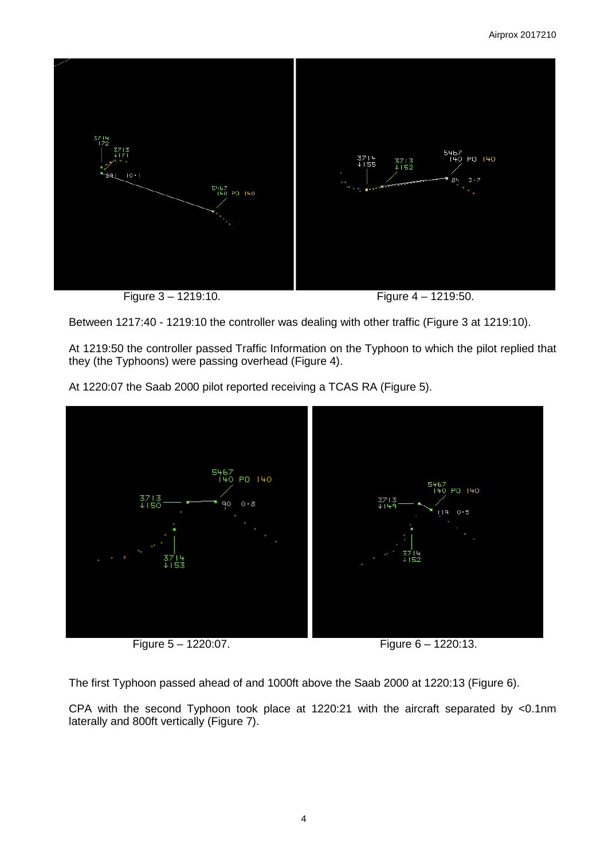

Figure 3 – 1219:10. Figure 4 – 1219:50.

Between 1217:40 - 1219:10 the controller was dealing with other traffic (Figure 3 at 1219:10).

At 1219:50 the controller passed Traffic Information on the Typhoon to which the pilot replied that they (the Typhoons) were passing overhead (Figure 4).

At 1220:07 the Saab 2000 pilot reported receiving a TCAS RA (Figure 5).



Figure 5 – 1220:07. Figure 6 – 1220:13.

The first Typhoon passed ahead of and 1000ft above the Saab 2000 at 1220:13 (Figure 6).

CPA with the second Typhoon took place at 1220:21 with the aircraft separated by <0.1nm laterally and 800ft vertically (Figure 7).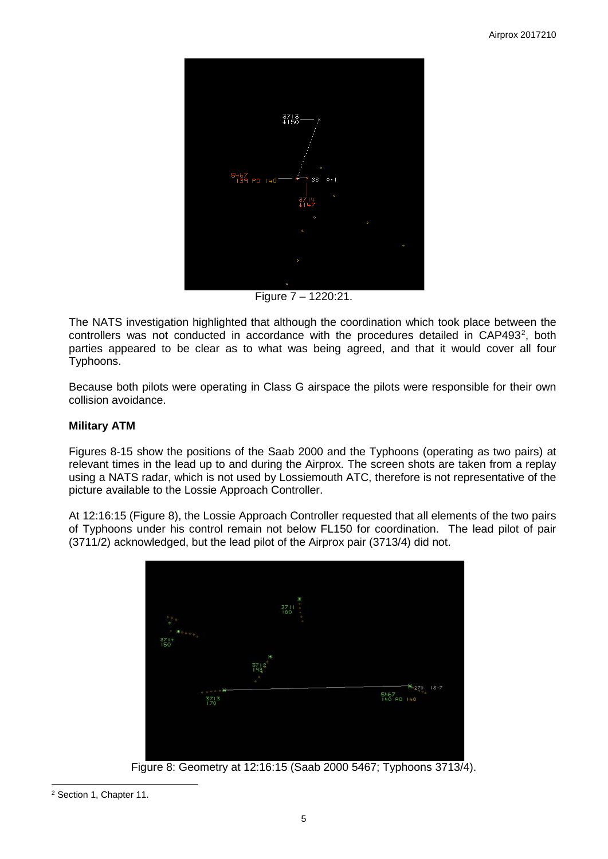

Figure 7 – 1220:21.

The NATS investigation highlighted that although the coordination which took place between the controllers was not conducted in accordance with the procedures detailed in CAP493<sup>[2](#page-4-0)</sup>, both parties appeared to be clear as to what was being agreed, and that it would cover all four Typhoons.

Because both pilots were operating in Class G airspace the pilots were responsible for their own collision avoidance.

# **Military ATM**

Figures 8-15 show the positions of the Saab 2000 and the Typhoons (operating as two pairs) at relevant times in the lead up to and during the Airprox. The screen shots are taken from a replay using a NATS radar, which is not used by Lossiemouth ATC, therefore is not representative of the picture available to the Lossie Approach Controller.

At 12:16:15 (Figure 8), the Lossie Approach Controller requested that all elements of the two pairs of Typhoons under his control remain not below FL150 for coordination. The lead pilot of pair (3711/2) acknowledged, but the lead pilot of the Airprox pair (3713/4) did not.



Figure 8: Geometry at 12:16:15 (Saab 2000 5467; Typhoons 3713/4).

 $\overline{\phantom{a}}$ 

<span id="page-4-0"></span><sup>2</sup> Section 1, Chapter 11.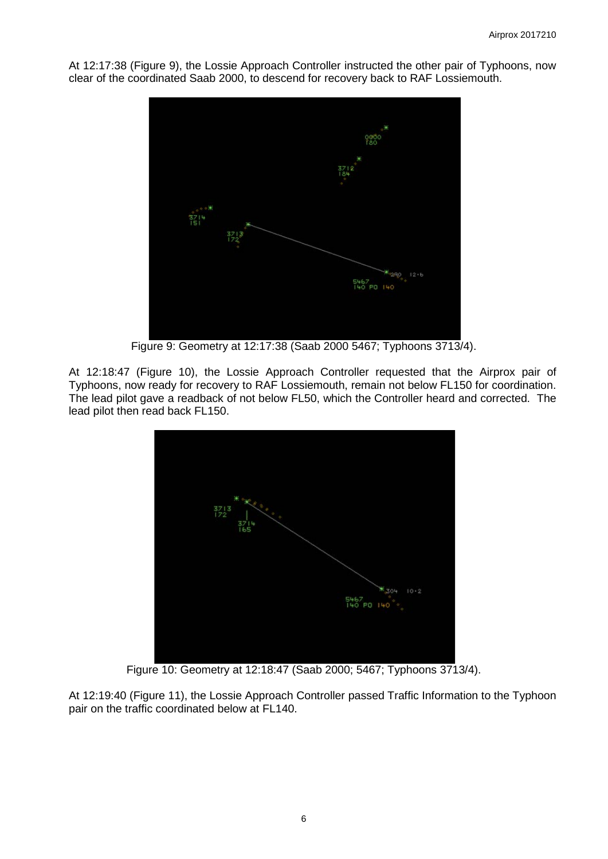At 12:17:38 (Figure 9), the Lossie Approach Controller instructed the other pair of Typhoons, now clear of the coordinated Saab 2000, to descend for recovery back to RAF Lossiemouth.



Figure 9: Geometry at 12:17:38 (Saab 2000 5467; Typhoons 3713/4).

At 12:18:47 (Figure 10), the Lossie Approach Controller requested that the Airprox pair of Typhoons, now ready for recovery to RAF Lossiemouth, remain not below FL150 for coordination. The lead pilot gave a readback of not below FL50, which the Controller heard and corrected. The lead pilot then read back FL150.



Figure 10: Geometry at 12:18:47 (Saab 2000; 5467; Typhoons 3713/4).

At 12:19:40 (Figure 11), the Lossie Approach Controller passed Traffic Information to the Typhoon pair on the traffic coordinated below at FL140.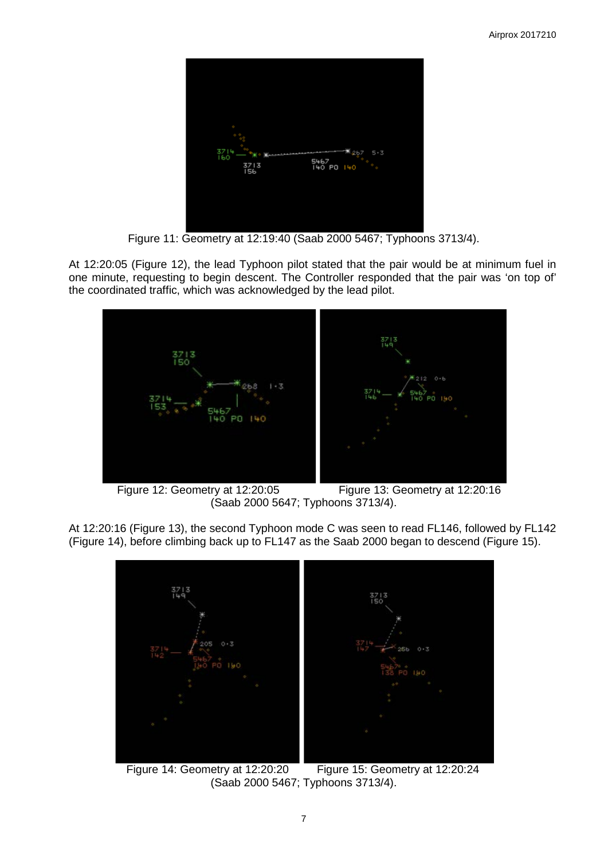

Figure 11: Geometry at 12:19:40 (Saab 2000 5467; Typhoons 3713/4).

At 12:20:05 (Figure 12), the lead Typhoon pilot stated that the pair would be at minimum fuel in one minute, requesting to begin descent. The Controller responded that the pair was 'on top of' the coordinated traffic, which was acknowledged by the lead pilot.



 Figure 12: Geometry at 12:20:05 Figure 13: Geometry at 12:20:16 (Saab 2000 5647; Typhoons 3713/4).

At 12:20:16 (Figure 13), the second Typhoon mode C was seen to read FL146, followed by FL142 (Figure 14), before climbing back up to FL147 as the Saab 2000 began to descend (Figure 15).



 Figure 14: Geometry at 12:20:20 Figure 15: Geometry at 12:20:24 (Saab 2000 5467; Typhoons 3713/4).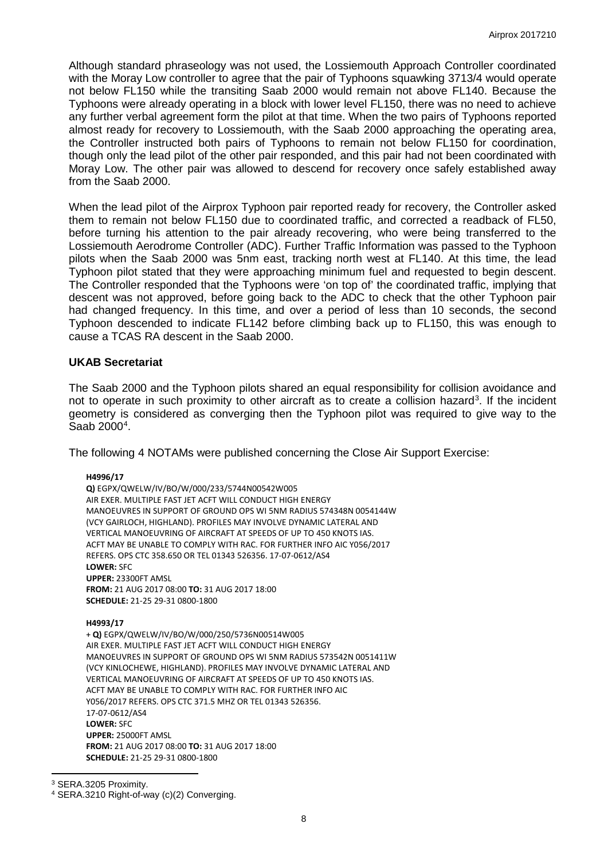Although standard phraseology was not used, the Lossiemouth Approach Controller coordinated with the Moray Low controller to agree that the pair of Typhoons squawking 3713/4 would operate not below FL150 while the transiting Saab 2000 would remain not above FL140. Because the Typhoons were already operating in a block with lower level FL150, there was no need to achieve any further verbal agreement form the pilot at that time. When the two pairs of Typhoons reported almost ready for recovery to Lossiemouth, with the Saab 2000 approaching the operating area, the Controller instructed both pairs of Typhoons to remain not below FL150 for coordination, though only the lead pilot of the other pair responded, and this pair had not been coordinated with Moray Low. The other pair was allowed to descend for recovery once safely established away from the Saab 2000.

When the lead pilot of the Airprox Typhoon pair reported ready for recovery, the Controller asked them to remain not below FL150 due to coordinated traffic, and corrected a readback of FL50, before turning his attention to the pair already recovering, who were being transferred to the Lossiemouth Aerodrome Controller (ADC). Further Traffic Information was passed to the Typhoon pilots when the Saab 2000 was 5nm east, tracking north west at FL140. At this time, the lead Typhoon pilot stated that they were approaching minimum fuel and requested to begin descent. The Controller responded that the Typhoons were 'on top of' the coordinated traffic, implying that descent was not approved, before going back to the ADC to check that the other Typhoon pair had changed frequency. In this time, and over a period of less than 10 seconds, the second Typhoon descended to indicate FL142 before climbing back up to FL150, this was enough to cause a TCAS RA descent in the Saab 2000.

### **UKAB Secretariat**

The Saab 2000 and the Typhoon pilots shared an equal responsibility for collision avoidance and not to operate in such proximity to other aircraft as to create a collision hazard<sup>[3](#page-7-0)</sup>. If the incident geometry is considered as converging then the Typhoon pilot was required to give way to the Saab 2000<sup>[4](#page-7-1)</sup>.

The following 4 NOTAMs were published concerning the Close Air Support Exercise:

#### **H4996/17**

**Q)** EGPX/QWELW/IV/BO/W/000/233/5744N00542W005 AIR EXER. MULTIPLE FAST JET ACFT WILL CONDUCT HIGH ENERGY MANOEUVRES IN SUPPORT OF GROUND OPS WI 5NM RADIUS 574348N 0054144W (VCY GAIRLOCH, HIGHLAND). PROFILES MAY INVOLVE DYNAMIC LATERAL AND VERTICAL MANOEUVRING OF AIRCRAFT AT SPEEDS OF UP TO 450 KNOTS IAS. ACFT MAY BE UNABLE TO COMPLY WITH RAC. FOR FURTHER INFO AIC Y056/2017 REFERS. OPS CTC 358.650 OR TEL 01343 526356. 17-07-0612/AS4 **LOWER:** SFC **UPPER:** 23300FT AMSL **FROM:** 21 AUG 2017 08:00 **TO:** 31 AUG 2017 18:00 **SCHEDULE:** 21-25 29-31 0800-1800

#### **H4993/17**

+ **Q)** EGPX/QWELW/IV/BO/W/000/250/5736N00514W005 AIR EXER. MULTIPLE FAST JET ACFT WILL CONDUCT HIGH ENERGY MANOEUVRES IN SUPPORT OF GROUND OPS WI 5NM RADIUS 573542N 0051411W (VCY KINLOCHEWE, HIGHLAND). PROFILES MAY INVOLVE DYNAMIC LATERAL AND VERTICAL MANOEUVRING OF AIRCRAFT AT SPEEDS OF UP TO 450 KNOTS IAS. ACFT MAY BE UNABLE TO COMPLY WITH RAC. FOR FURTHER INFO AIC Y056/2017 REFERS. OPS CTC 371.5 MHZ OR TEL 01343 526356. 17-07-0612/AS4 **LOWER:** SFC **UPPER:** 25000FT AMSL **FROM:** 21 AUG 2017 08:00 **TO:** 31 AUG 2017 18:00 **SCHEDULE:** 21-25 29-31 0800-1800

l

<span id="page-7-0"></span><sup>3</sup> SERA.3205 Proximity.

<span id="page-7-1"></span><sup>4</sup> SERA.3210 Right-of-way (c)(2) Converging.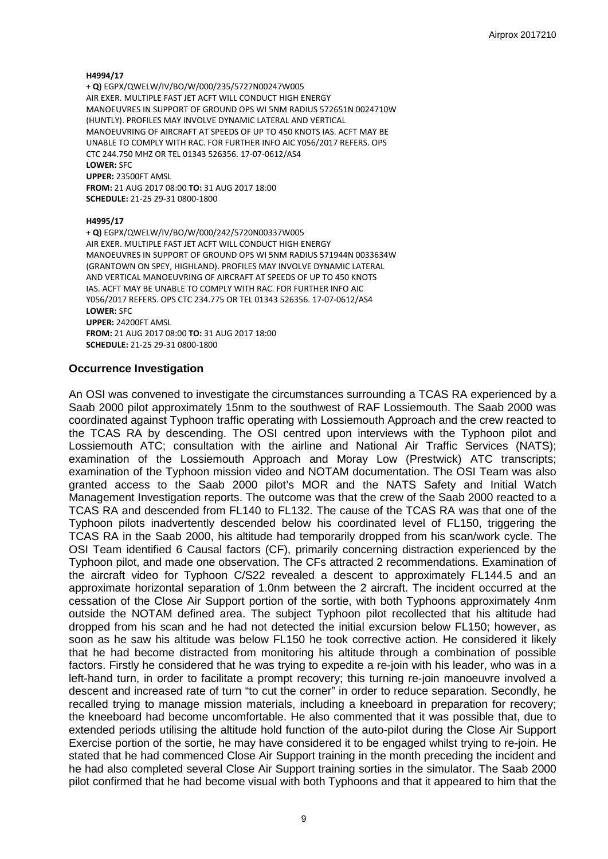#### **H4994/17**

+ **Q)** EGPX/QWELW/IV/BO/W/000/235/5727N00247W005 AIR EXER. MULTIPLE FAST JET ACFT WILL CONDUCT HIGH ENERGY MANOEUVRES IN SUPPORT OF GROUND OPS WI 5NM RADIUS 572651N 0024710W (HUNTLY). PROFILES MAY INVOLVE DYNAMIC LATERAL AND VERTICAL MANOEUVRING OF AIRCRAFT AT SPEEDS OF UP TO 450 KNOTS IAS. ACFT MAY BE UNABLE TO COMPLY WITH RAC. FOR FURTHER INFO AIC Y056/2017 REFERS. OPS CTC 244.750 MHZ OR TEL 01343 526356. 17-07-0612/AS4 **LOWER:** SFC **UPPER:** 23500FT AMSL **FROM:** 21 AUG 2017 08:00 **TO:** 31 AUG 2017 18:00 **SCHEDULE:** 21-25 29-31 0800-1800

#### **H4995/17**

+ **Q)** EGPX/QWELW/IV/BO/W/000/242/5720N00337W005 AIR EXER. MULTIPLE FAST JET ACFT WILL CONDUCT HIGH ENERGY MANOEUVRES IN SUPPORT OF GROUND OPS WI 5NM RADIUS 571944N 0033634W (GRANTOWN ON SPEY, HIGHLAND). PROFILES MAY INVOLVE DYNAMIC LATERAL AND VERTICAL MANOEUVRING OF AIRCRAFT AT SPEEDS OF UP TO 450 KNOTS IAS. ACFT MAY BE UNABLE TO COMPLY WITH RAC. FOR FURTHER INFO AIC Y056/2017 REFERS. OPS CTC 234.775 OR TEL 01343 526356. 17-07-0612/AS4 **LOWER:** SFC **UPPER:** 24200FT AMSL **FROM:** 21 AUG 2017 08:00 **TO:** 31 AUG 2017 18:00 **SCHEDULE:** 21-25 29-31 0800-1800

### **Occurrence Investigation**

An OSI was convened to investigate the circumstances surrounding a TCAS RA experienced by a Saab 2000 pilot approximately 15nm to the southwest of RAF Lossiemouth. The Saab 2000 was coordinated against Typhoon traffic operating with Lossiemouth Approach and the crew reacted to the TCAS RA by descending. The OSI centred upon interviews with the Typhoon pilot and Lossiemouth ATC; consultation with the airline and National Air Traffic Services (NATS); examination of the Lossiemouth Approach and Moray Low (Prestwick) ATC transcripts; examination of the Typhoon mission video and NOTAM documentation. The OSI Team was also granted access to the Saab 2000 pilot's MOR and the NATS Safety and Initial Watch Management Investigation reports. The outcome was that the crew of the Saab 2000 reacted to a TCAS RA and descended from FL140 to FL132. The cause of the TCAS RA was that one of the Typhoon pilots inadvertently descended below his coordinated level of FL150, triggering the TCAS RA in the Saab 2000, his altitude had temporarily dropped from his scan/work cycle. The OSI Team identified 6 Causal factors (CF), primarily concerning distraction experienced by the Typhoon pilot, and made one observation. The CFs attracted 2 recommendations. Examination of the aircraft video for Typhoon C/S22 revealed a descent to approximately FL144.5 and an approximate horizontal separation of 1.0nm between the 2 aircraft. The incident occurred at the cessation of the Close Air Support portion of the sortie, with both Typhoons approximately 4nm outside the NOTAM defined area. The subject Typhoon pilot recollected that his altitude had dropped from his scan and he had not detected the initial excursion below FL150; however, as soon as he saw his altitude was below FL150 he took corrective action. He considered it likely that he had become distracted from monitoring his altitude through a combination of possible factors. Firstly he considered that he was trying to expedite a re-join with his leader, who was in a left-hand turn, in order to facilitate a prompt recovery; this turning re-join manoeuvre involved a descent and increased rate of turn "to cut the corner" in order to reduce separation. Secondly, he recalled trying to manage mission materials, including a kneeboard in preparation for recovery; the kneeboard had become uncomfortable. He also commented that it was possible that, due to extended periods utilising the altitude hold function of the auto-pilot during the Close Air Support Exercise portion of the sortie, he may have considered it to be engaged whilst trying to re-join. He stated that he had commenced Close Air Support training in the month preceding the incident and he had also completed several Close Air Support training sorties in the simulator. The Saab 2000 pilot confirmed that he had become visual with both Typhoons and that it appeared to him that the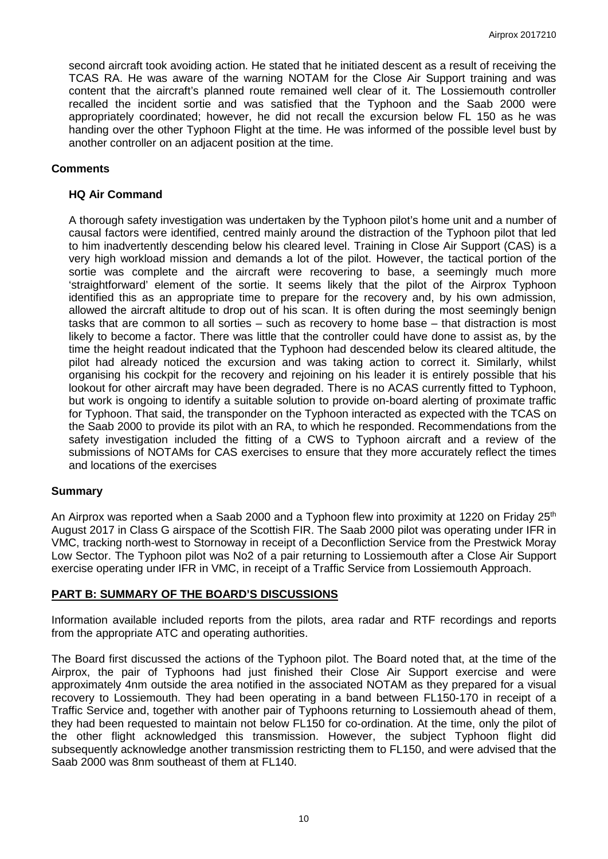second aircraft took avoiding action. He stated that he initiated descent as a result of receiving the TCAS RA. He was aware of the warning NOTAM for the Close Air Support training and was content that the aircraft's planned route remained well clear of it. The Lossiemouth controller recalled the incident sortie and was satisfied that the Typhoon and the Saab 2000 were appropriately coordinated; however, he did not recall the excursion below FL 150 as he was handing over the other Typhoon Flight at the time. He was informed of the possible level bust by another controller on an adjacent position at the time.

## **Comments**

## **HQ Air Command**

A thorough safety investigation was undertaken by the Typhoon pilot's home unit and a number of causal factors were identified, centred mainly around the distraction of the Typhoon pilot that led to him inadvertently descending below his cleared level. Training in Close Air Support (CAS) is a very high workload mission and demands a lot of the pilot. However, the tactical portion of the sortie was complete and the aircraft were recovering to base, a seemingly much more 'straightforward' element of the sortie. It seems likely that the pilot of the Airprox Typhoon identified this as an appropriate time to prepare for the recovery and, by his own admission, allowed the aircraft altitude to drop out of his scan. It is often during the most seemingly benign tasks that are common to all sorties – such as recovery to home base – that distraction is most likely to become a factor. There was little that the controller could have done to assist as, by the time the height readout indicated that the Typhoon had descended below its cleared altitude, the pilot had already noticed the excursion and was taking action to correct it. Similarly, whilst organising his cockpit for the recovery and rejoining on his leader it is entirely possible that his lookout for other aircraft may have been degraded. There is no ACAS currently fitted to Typhoon, but work is ongoing to identify a suitable solution to provide on-board alerting of proximate traffic for Typhoon. That said, the transponder on the Typhoon interacted as expected with the TCAS on the Saab 2000 to provide its pilot with an RA, to which he responded. Recommendations from the safety investigation included the fitting of a CWS to Typhoon aircraft and a review of the submissions of NOTAMs for CAS exercises to ensure that they more accurately reflect the times and locations of the exercises

## **Summary**

An Airprox was reported when a Saab 2000 and a Typhoon flew into proximity at 1220 on Friday 25<sup>th</sup> August 2017 in Class G airspace of the Scottish FIR. The Saab 2000 pilot was operating under IFR in VMC, tracking north-west to Stornoway in receipt of a Deconfliction Service from the Prestwick Moray Low Sector. The Typhoon pilot was No2 of a pair returning to Lossiemouth after a Close Air Support exercise operating under IFR in VMC, in receipt of a Traffic Service from Lossiemouth Approach.

## **PART B: SUMMARY OF THE BOARD'S DISCUSSIONS**

Information available included reports from the pilots, area radar and RTF recordings and reports from the appropriate ATC and operating authorities.

The Board first discussed the actions of the Typhoon pilot. The Board noted that, at the time of the Airprox, the pair of Typhoons had just finished their Close Air Support exercise and were approximately 4nm outside the area notified in the associated NOTAM as they prepared for a visual recovery to Lossiemouth. They had been operating in a band between FL150-170 in receipt of a Traffic Service and, together with another pair of Typhoons returning to Lossiemouth ahead of them, they had been requested to maintain not below FL150 for co-ordination. At the time, only the pilot of the other flight acknowledged this transmission. However, the subject Typhoon flight did subsequently acknowledge another transmission restricting them to FL150, and were advised that the Saab 2000 was 8nm southeast of them at FL140.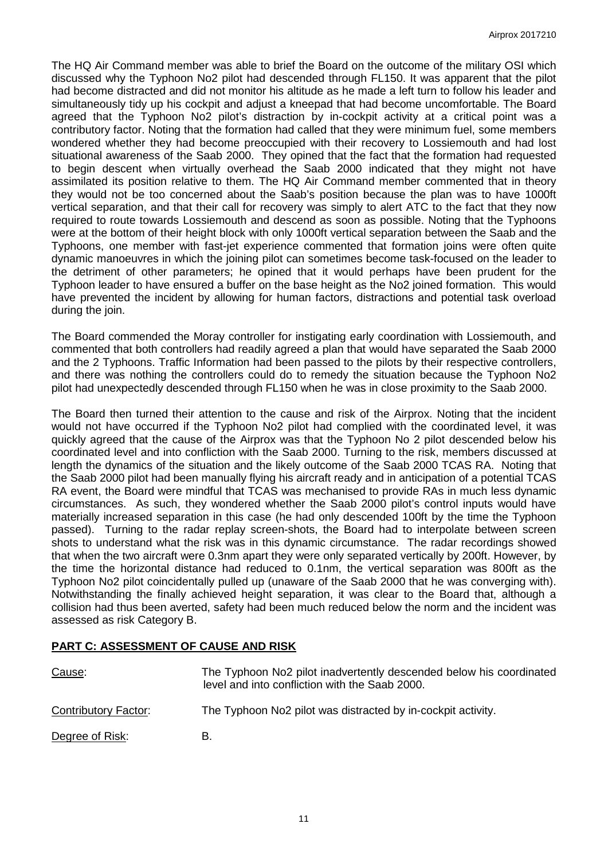The HQ Air Command member was able to brief the Board on the outcome of the military OSI which discussed why the Typhoon No2 pilot had descended through FL150. It was apparent that the pilot had become distracted and did not monitor his altitude as he made a left turn to follow his leader and simultaneously tidy up his cockpit and adjust a kneepad that had become uncomfortable. The Board agreed that the Typhoon No2 pilot's distraction by in-cockpit activity at a critical point was a contributory factor. Noting that the formation had called that they were minimum fuel, some members wondered whether they had become preoccupied with their recovery to Lossiemouth and had lost situational awareness of the Saab 2000. They opined that the fact that the formation had requested to begin descent when virtually overhead the Saab 2000 indicated that they might not have assimilated its position relative to them. The HQ Air Command member commented that in theory they would not be too concerned about the Saab's position because the plan was to have 1000ft vertical separation, and that their call for recovery was simply to alert ATC to the fact that they now required to route towards Lossiemouth and descend as soon as possible. Noting that the Typhoons were at the bottom of their height block with only 1000ft vertical separation between the Saab and the Typhoons, one member with fast-jet experience commented that formation joins were often quite dynamic manoeuvres in which the joining pilot can sometimes become task-focused on the leader to the detriment of other parameters; he opined that it would perhaps have been prudent for the Typhoon leader to have ensured a buffer on the base height as the No2 joined formation. This would have prevented the incident by allowing for human factors, distractions and potential task overload during the join.

The Board commended the Moray controller for instigating early coordination with Lossiemouth, and commented that both controllers had readily agreed a plan that would have separated the Saab 2000 and the 2 Typhoons. Traffic Information had been passed to the pilots by their respective controllers, and there was nothing the controllers could do to remedy the situation because the Typhoon No2 pilot had unexpectedly descended through FL150 when he was in close proximity to the Saab 2000.

The Board then turned their attention to the cause and risk of the Airprox. Noting that the incident would not have occurred if the Typhoon No2 pilot had complied with the coordinated level, it was quickly agreed that the cause of the Airprox was that the Typhoon No 2 pilot descended below his coordinated level and into confliction with the Saab 2000. Turning to the risk, members discussed at length the dynamics of the situation and the likely outcome of the Saab 2000 TCAS RA. Noting that the Saab 2000 pilot had been manually flying his aircraft ready and in anticipation of a potential TCAS RA event, the Board were mindful that TCAS was mechanised to provide RAs in much less dynamic circumstances. As such, they wondered whether the Saab 2000 pilot's control inputs would have materially increased separation in this case (he had only descended 100ft by the time the Typhoon passed). Turning to the radar replay screen-shots, the Board had to interpolate between screen shots to understand what the risk was in this dynamic circumstance. The radar recordings showed that when the two aircraft were 0.3nm apart they were only separated vertically by 200ft. However, by the time the horizontal distance had reduced to 0.1nm, the vertical separation was 800ft as the Typhoon No2 pilot coincidentally pulled up (unaware of the Saab 2000 that he was converging with). Notwithstanding the finally achieved height separation, it was clear to the Board that, although a collision had thus been averted, safety had been much reduced below the norm and the incident was assessed as risk Category B.

## **PART C: ASSESSMENT OF CAUSE AND RISK**

| Cause:               | The Typhoon No2 pilot inadvertently descended below his coordinated<br>level and into confliction with the Saab 2000. |
|----------------------|-----------------------------------------------------------------------------------------------------------------------|
| Contributory Factor: | The Typhoon No2 pilot was distracted by in-cockpit activity.                                                          |
| Degree of Risk:      | В.                                                                                                                    |